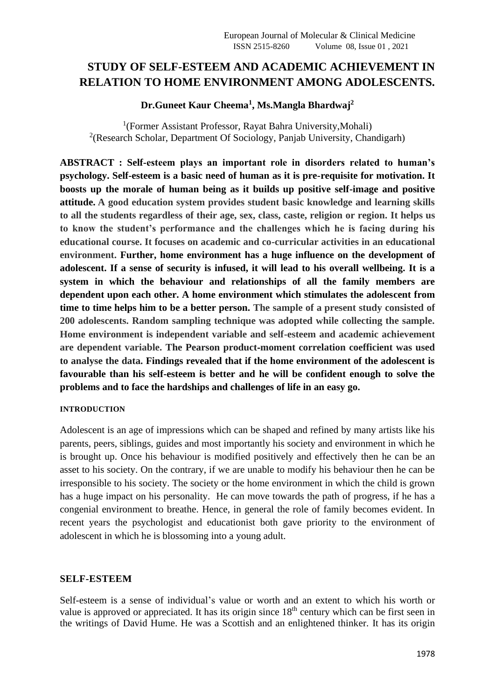# **STUDY OF SELF-ESTEEM AND ACADEMIC ACHIEVEMENT IN RELATION TO HOME ENVIRONMENT AMONG ADOLESCENTS.**

# **Dr.Guneet Kaur Cheema<sup>1</sup> , Ms.Mangla Bhardwaj<sup>2</sup>**

<sup>1</sup>(Former Assistant Professor, Rayat Bahra University, Mohali) <sup>2</sup>(Research Scholar, Department Of Sociology, Panjab University, Chandigarh)

**ABSTRACT : Self-esteem plays an important role in disorders related to human's psychology. Self-esteem is a basic need of human as it is pre-requisite for motivation. It boosts up the morale of human being as it builds up positive self-image and positive attitude. A good education system provides student basic knowledge and learning skills to all the students regardless of their age, sex, class, caste, religion or region. It helps us to know the student's performance and the challenges which he is facing during his educational course. It focuses on academic and co-curricular activities in an educational environment. Further, home environment has a huge influence on the development of adolescent. If a sense of security is infused, it will lead to his overall wellbeing. It is a system in which the behaviour and relationships of all the family members are dependent upon each other. A home environment which stimulates the adolescent from time to time helps him to be a better person. The sample of a present study consisted of 200 adolescents. Random sampling technique was adopted while collecting the sample. Home environment is independent variable and self-esteem and academic achievement are dependent variable. The Pearson product**‐**moment correlation coefficient was used to analyse the data. Findings revealed that if the home environment of the adolescent is favourable than his self-esteem is better and he will be confident enough to solve the problems and to face the hardships and challenges of life in an easy go.**

### **INTRODUCTION**

Adolescent is an age of impressions which can be shaped and refined by many artists like his parents, peers, siblings, guides and most importantly his society and environment in which he is brought up. Once his behaviour is modified positively and effectively then he can be an asset to his society. On the contrary, if we are unable to modify his behaviour then he can be irresponsible to his society. The society or the home environment in which the child is grown has a huge impact on his personality. He can move towards the path of progress, if he has a congenial environment to breathe. Hence, in general the role of family becomes evident. In recent years the psychologist and educationist both gave priority to the environment of adolescent in which he is blossoming into a young adult.

# **SELF-ESTEEM**

Self-esteem is a sense of individual's value or worth and an extent to which his worth or value is approved or appreciated. It has its origin since 18<sup>th</sup> century which can be first seen in the writings of David Hume. He was a Scottish and an enlightened thinker. It has its origin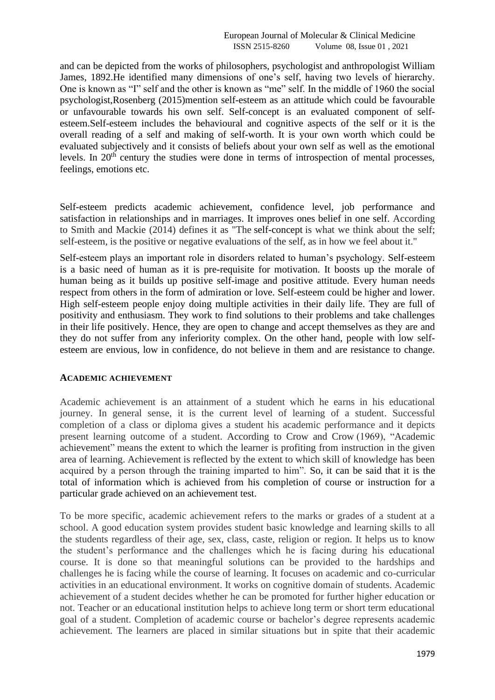and can be depicted from the works of philosophers, psychologist and anthropologist William James, 1892.He identified many dimensions of one's self, having two levels of hierarchy. One is known as "I" self and the other is known as "me" self. In the middle of 1960 the social psychologist,Rosenberg (2015)mention self-esteem as an attitude which could be favourable or unfavourable towards his own self. Self-concept is an evaluated component of selfesteem.Self-esteem includes the behavioural and cognitive aspects of the self or it is the overall reading of a self and making of self-worth. It is your own worth which could be evaluated subjectively and it consists of beliefs about your own self as well as the emotional levels. In 20<sup>th</sup> century the studies were done in terms of introspection of mental processes, feelings, emotions etc.

Self-esteem predicts academic achievement, confidence level, job performance and satisfaction in relationships and in marriages. It improves ones belief in one self. According to Smith and Mackie (2014) defines it as "The [self-concept](https://en.wikipedia.org/wiki/Self-concept) is what we think about the self; self-esteem, is the positive or negative evaluations of the self, as in how we feel about it."

Self-esteem plays an important role in disorders related to human's psychology. Self-esteem is a basic need of human as it is pre-requisite for motivation. It boosts up the morale of human being as it builds up positive self-image and positive attitude. Every human needs respect from others in the form of admiration or love. Self-esteem could be higher and lower. High self-esteem people enjoy doing multiple activities in their daily life. They are full of positivity and enthusiasm. They work to find solutions to their problems and take challenges in their life positively. Hence, they are open to change and accept themselves as they are and they do not suffer from any inferiority complex. On the other hand, people with low selfesteem are envious, low in confidence, do not believe in them and are resistance to change.

### **ACADEMIC ACHIEVEMENT**

Academic achievement is an attainment of a student which he earns in his educational journey. In general sense, it is the current level of learning of a student. Successful completion of a class or diploma gives a student his academic performance and it depicts present learning outcome of a student. According to Crow and Crow (1969), "Academic achievement" means the extent to which the learner is profiting from instruction in the given area of learning. Achievement is reflected by the extent to which skill of knowledge has been acquired by a person through the training imparted to him". So, it can be said that it is the total of information which is achieved from his completion of course or instruction for a particular grade achieved on an achievement test.

To be more specific, academic achievement refers to the marks or grades of a student at a school. A good education system provides student basic knowledge and learning skills to all the students regardless of their age, sex, class, caste, religion or region. It helps us to know the student's performance and the challenges which he is facing during his educational course. It is done so that meaningful solutions can be provided to the hardships and challenges he is facing while the course of learning. It focuses on academic and co-curricular activities in an educational environment. It works on cognitive domain of students. Academic achievement of a student decides whether he can be promoted for further higher education or not. Teacher or an educational institution helps to achieve long term or short term educational goal of a student. Completion of academic course or bachelor's degree represents academic achievement. The learners are placed in similar situations but in spite that their academic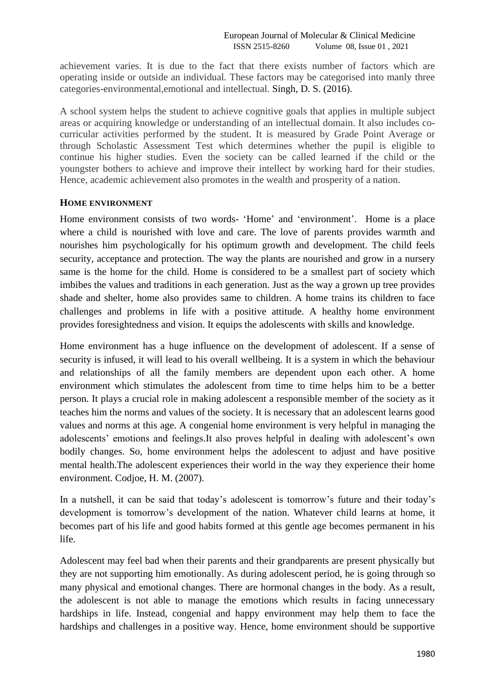achievement varies. It is due to the fact that there exists number of factors which are operating inside or outside an individual. These factors may be categorised into manly three categories-environmental,emotional and intellectual. Singh, D. S. (2016).

A school system helps the student to achieve cognitive goals that applies in multiple subject areas or acquiring knowledge or understanding of an intellectual domain. It also includes cocurricular activities performed by the student. It is measured by Grade Point Average or through Scholastic Assessment Test which determines whether the pupil is eligible to continue his higher studies. Even the society can be called learned if the child or the youngster bothers to achieve and improve their intellect by working hard for their studies. Hence, academic achievement also promotes in the wealth and prosperity of a nation.

### **HOME ENVIRONMENT**

Home environment consists of two words- 'Home' and 'environment'. Home is a place where a child is nourished with love and care. The love of parents provides warmth and nourishes him psychologically for his optimum growth and development. The child feels security, acceptance and protection. The way the plants are nourished and grow in a nursery same is the home for the child. Home is considered to be a smallest part of society which imbibes the values and traditions in each generation. Just as the way a grown up tree provides shade and shelter, home also provides same to children. A home trains its children to face challenges and problems in life with a positive attitude. A healthy home environment provides foresightedness and vision. It equips the adolescents with skills and knowledge.

Home environment has a huge influence on the development of adolescent. If a sense of security is infused, it will lead to his overall wellbeing. It is a system in which the behaviour and relationships of all the family members are dependent upon each other. A home environment which stimulates the adolescent from time to time helps him to be a better person. It plays a crucial role in making adolescent a responsible member of the society as it teaches him the norms and values of the society. It is necessary that an adolescent learns good values and norms at this age. A congenial home environment is very helpful in managing the adolescents' emotions and feelings.It also proves helpful in dealing with adolescent's own bodily changes. So, home environment helps the adolescent to adjust and have positive mental health.The adolescent experiences their world in the way they experience their home environment. Codjoe, H. M. (2007).

In a nutshell, it can be said that today's adolescent is tomorrow's future and their today's development is tomorrow's development of the nation. Whatever child learns at home, it becomes part of his life and good habits formed at this gentle age becomes permanent in his life.

Adolescent may feel bad when their parents and their grandparents are present physically but they are not supporting him emotionally. As during adolescent period, he is going through so many physical and emotional changes. There are hormonal changes in the body. As a result, the adolescent is not able to manage the emotions which results in facing unnecessary hardships in life. Instead, congenial and happy environment may help them to face the hardships and challenges in a positive way. Hence, home environment should be supportive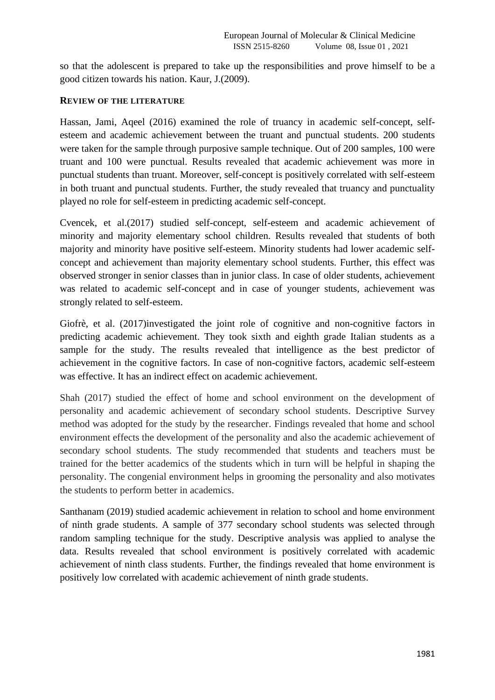so that the adolescent is prepared to take up the responsibilities and prove himself to be a good citizen towards his nation. Kaur, J.(2009).

#### **REVIEW OF THE LITERATURE**

Hassan, Jami, Aqeel (2016) examined the role of truancy in academic self-concept, selfesteem and academic achievement between the truant and punctual students. 200 students were taken for the sample through purposive sample technique. Out of 200 samples, 100 were truant and 100 were punctual. Results revealed that academic achievement was more in punctual students than truant. Moreover, self-concept is positively correlated with self-esteem in both truant and punctual students. Further, the study revealed that truancy and punctuality played no role for self-esteem in predicting academic self-concept.

Cvencek, et al.(2017) studied self-concept, self-esteem and academic achievement of minority and majority elementary school children. Results revealed that students of both majority and minority have positive self-esteem. Minority students had lower academic selfconcept and achievement than majority elementary school students. Further, this effect was observed stronger in senior classes than in junior class. In case of older students, achievement was related to academic self-concept and in case of younger students, achievement was strongly related to self-esteem.

Giofrè, et al. (2017)investigated the joint role of cognitive and non-cognitive factors in predicting academic achievement. They took sixth and eighth grade Italian students as a sample for the study. The results revealed that intelligence as the best predictor of achievement in the cognitive factors. In case of non-cognitive factors, academic self-esteem was effective. It has an indirect effect on academic achievement.

Shah (2017) studied the effect of home and school environment on the development of personality and academic achievement of secondary school students. Descriptive Survey method was adopted for the study by the researcher. Findings revealed that home and school environment effects the development of the personality and also the academic achievement of secondary school students. The study recommended that students and teachers must be trained for the better academics of the students which in turn will be helpful in shaping the personality. The congenial environment helps in grooming the personality and also motivates the students to perform better in academics.

Santhanam (2019) studied academic achievement in relation to school and home environment of ninth grade students. A sample of 377 secondary school students was selected through random sampling technique for the study. Descriptive analysis was applied to analyse the data. Results revealed that school environment is positively correlated with academic achievement of ninth class students. Further, the findings revealed that home environment is positively low correlated with academic achievement of ninth grade students.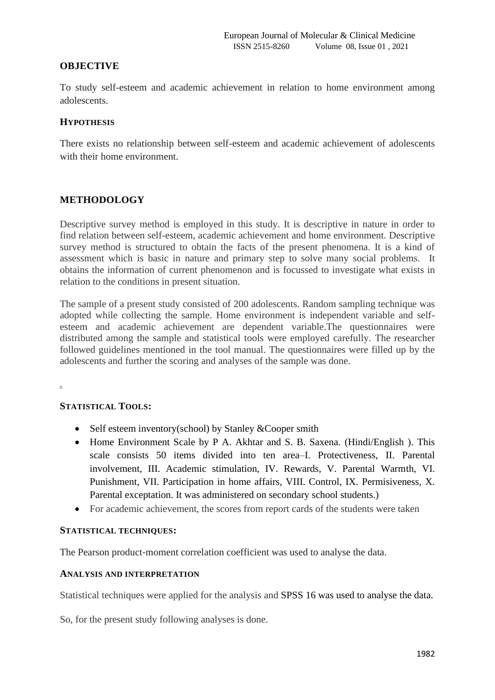### **OBJECTIVE**

To study self-esteem and academic achievement in relation to home environment among adolescents.

### **HYPOTHESIS**

There exists no relationship between self-esteem and academic achievement of adolescents with their home environment.

### **METHODOLOGY**

Descriptive survey method is employed in this study. It is descriptive in nature in order to find relation between self-esteem, academic achievement and home environment. Descriptive survey method is structured to obtain the facts of the present phenomena. It is a kind of assessment which is basic in nature and primary step to solve many social problems. It obtains the information of current phenomenon and is focussed to investigate what exists in relation to the conditions in present situation.

The sample of a present study consisted of 200 adolescents. Random sampling technique was adopted while collecting the sample. Home environment is independent variable and selfesteem and academic achievement are dependent variable.The questionnaires were distributed among the sample and statistical tools were employed carefully. The researcher followed guidelines mentioned in the tool manual. The questionnaires were filled up by the adolescents and further the scoring and analyses of the sample was done.

.

#### **STATISTICAL TOOLS:**

- Self esteem inventory(school) by Stanley &Cooper smith
- Home Environment Scale by P A. Akhtar and S. B. Saxena. (Hindi/English). This scale consists 50 items divided into ten area–I. Protectiveness, II. Parental involvement, III. Academic stimulation, IV. Rewards, V. Parental Warmth, VI. Punishment, VII. Participation in home affairs, VIII. Control, IX. Permisiveness, X. Parental exceptation. It was administered on secondary school students.)
- For academic achievement, the scores from report cards of the students were taken

#### **STATISTICAL TECHNIQUES:**

The Pearson product-moment correlation coefficient was used to analyse the data.

#### **ANALYSIS AND INTERPRETATION**

Statistical techniques were applied for the analysis and SPSS 16 was used to analyse the data.

So, for the present study following analyses is done.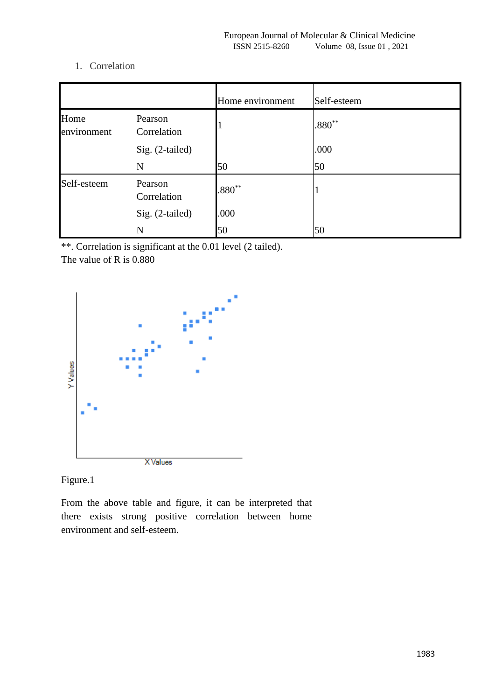# 1. Correlation

|                     |                        | Home environment | Self-esteem |
|---------------------|------------------------|------------------|-------------|
| Home<br>environment | Pearson<br>Correlation |                  | $.880**$    |
|                     | Sig. (2-tailed)        |                  | .000        |
|                     | N                      | 50               | 50          |
| Self-esteem         | Pearson<br>Correlation | $.880**$         |             |
|                     | Sig. (2-tailed)        | .000             |             |
|                     | N                      | 50               | 50          |

\*\*. Correlation is significant at the 0.01 level (2 tailed).

The value of R is 0.880



Figure.1

From the above table and figure, it can be interpreted that there exists strong positive correlation between home environment and self-esteem.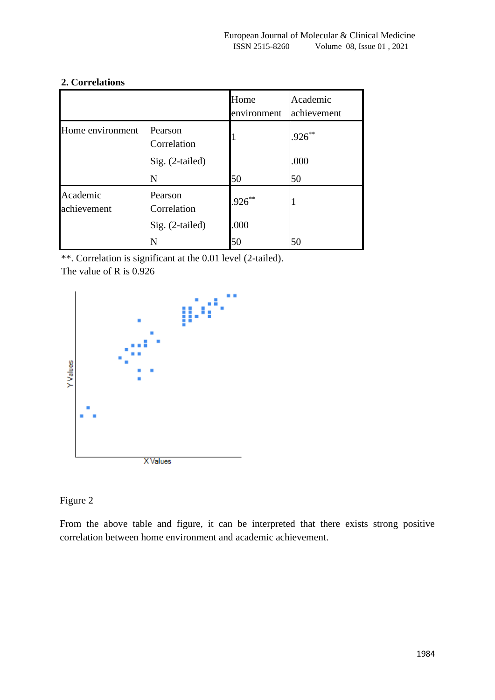|                         |                        | Home<br>environment | Academic<br>achievement |
|-------------------------|------------------------|---------------------|-------------------------|
| Home environment        | Pearson<br>Correlation |                     | $.926**$                |
|                         | $Sig. (2-tailed)$      |                     | .000                    |
|                         | N                      | 50                  | 50                      |
| Academic<br>achievement | Pearson<br>Correlation | $926^{**}$          | 1                       |
|                         | Sig. (2-tailed)        | .000                |                         |
|                         | N                      | 50                  | 50                      |

# **2. Correlations**

\*\*. Correlation is significant at the 0.01 level (2-tailed).

The value of R is 0.926



Figure 2

From the above table and figure, it can be interpreted that there exists strong positive correlation between home environment and academic achievement.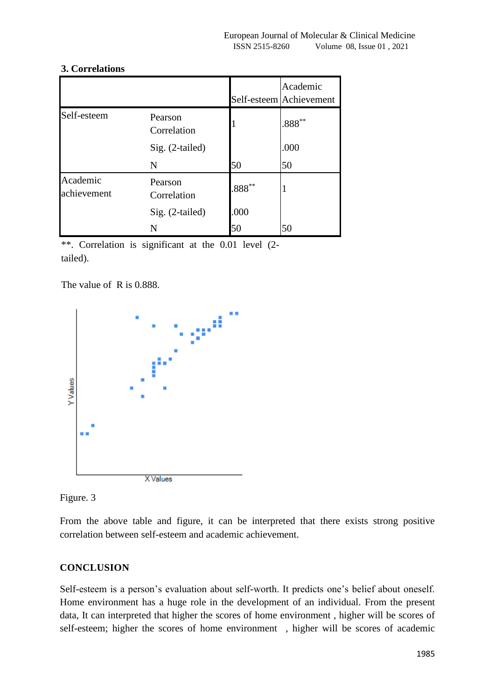### **3. Correlations**

|                         |                        |           | Academic<br>Self-esteem Achievement |
|-------------------------|------------------------|-----------|-------------------------------------|
| Self-esteem             | Pearson<br>Correlation |           | $0.888**$                           |
|                         | Sig. (2-tailed)        |           | .000                                |
|                         | N                      | 50        | 50                                  |
| Academic<br>achievement | Pearson<br>Correlation | $.888***$ |                                     |
|                         | Sig. (2-tailed)        | .000      |                                     |
|                         | N                      | 50        | 50                                  |

\*\*. Correlation is significant at the 0.01 level (2tailed).

The value of R is 0.888.





From the above table and figure, it can be interpreted that there exists strong positive correlation between self-esteem and academic achievement.

# **CONCLUSION**

Self-esteem is a person's evaluation about self-worth. It predicts one's belief about oneself. Home environment has a huge role in the development of an individual. From the present data, It can interpreted that higher the scores of home environment , higher will be scores of self-esteem; higher the scores of home environment , higher will be scores of academic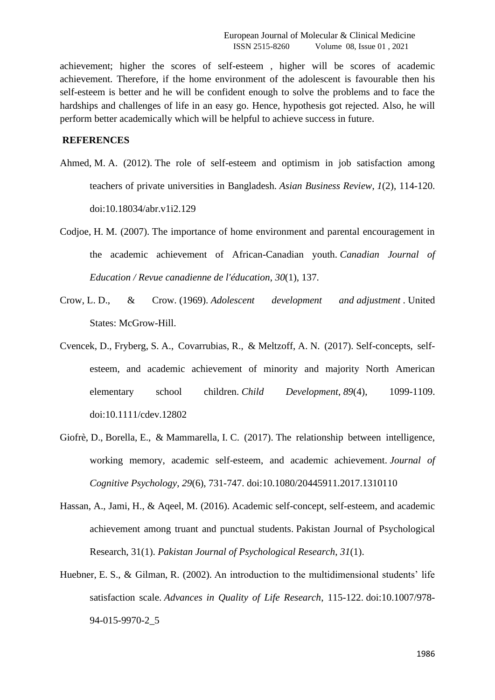achievement; higher the scores of self-esteem , higher will be scores of academic achievement. Therefore, if the home environment of the adolescent is favourable then his self-esteem is better and he will be confident enough to solve the problems and to face the hardships and challenges of life in an easy go. Hence, hypothesis got rejected. Also, he will perform better academically which will be helpful to achieve success in future.

#### **REFERENCES**

- Ahmed, M. A. (2012). The role of self-esteem and optimism in job satisfaction among teachers of private universities in Bangladesh. *Asian Business Review*, *1*(2), 114-120. doi:10.18034/abr.v1i2.129
- Codjoe, H. M. (2007). The importance of home environment and parental encouragement in the academic achievement of African-Canadian youth. *Canadian Journal of Education / Revue canadienne de l'éducation*, *30*(1), 137.
- Crow, L. D., & Crow. (1969). *Adolescent development and adjustment* . United States: McGrow-Hill.
- Cvencek, D., Fryberg, S. A., Covarrubias, R., & Meltzoff, A. N. (2017). Self-concepts, selfesteem, and academic achievement of minority and majority North American elementary school children. *Child Development*, *89*(4), 1099-1109. doi:10.1111/cdev.12802
- Giofrè, D., Borella, E., & Mammarella, I. C. (2017). The relationship between intelligence, working memory, academic self-esteem, and academic achievement. *Journal of Cognitive Psychology*, *29*(6), 731-747. doi:10.1080/20445911.2017.1310110
- Hassan, A., Jami, H., & Aqeel, M. (2016). Academic self-concept, self-esteem, and academic achievement among truant and punctual students. Pakistan Journal of Psychological Research, 31(1). *Pakistan Journal of Psychological Research*, *31*(1).
- Huebner, E. S., & Gilman, R. (2002). An introduction to the multidimensional students' life satisfaction scale. *Advances in Quality of Life Research*, 115-122. doi:10.1007/978- 94-015-9970-2\_5